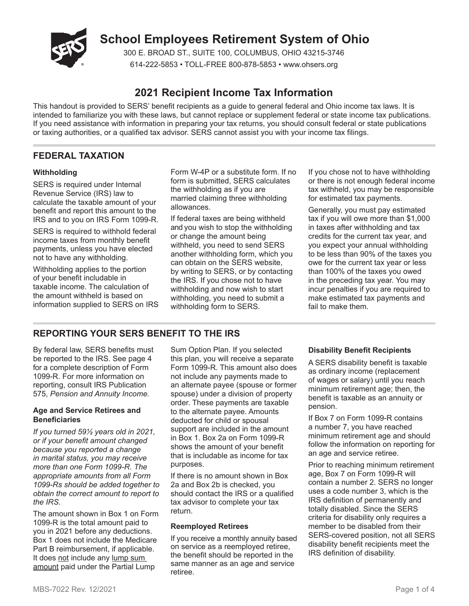

# **School Employees Retirement System of Ohio**

300 E. BROAD ST., SUITE 100, COLUMBUS, OHIO 43215-3746 614-222-5853 • TOLL-FREE 800-878-5853 • www.ohsers.org

# **2021 Recipient Income Tax Information**

This handout is provided to SERS' benefit recipients as a guide to general federal and Ohio income tax laws. It is intended to familiarize you with these laws, but cannot replace or supplement federal or state income tax publications. If you need assistance with information in preparing your tax returns, you should consult federal or state publications or taxing authorities, or a qualified tax advisor. SERS cannot assist you with your income tax filings.

# **FEDERAL TAXATION**

#### **Withholding**

SERS is required under Internal Revenue Service (IRS) law to calculate the taxable amount of your benefit and report this amount to the IRS and to you on IRS Form 1099-R.

SERS is required to withhold federal income taxes from monthly benefit payments, unless you have elected not to have any withholding.

Withholding applies to the portion of your benefit includable in taxable income. The calculation of the amount withheld is based on information supplied to SERS on IRS Form W-4P or a substitute form. If no form is submitted, SERS calculates the withholding as if you are married claiming three withholding allowances.

If federal taxes are being withheld and you wish to stop the withholding or change the amount being withheld, you need to send SERS another withholding form, which you can obtain on the SERS website, by writing to SERS, or by contacting the IRS. If you chose not to have withholding and now wish to start withholding, you need to submit a withholding form to SERS.

If you chose not to have withholding or there is not enough federal income tax withheld, you may be responsible for estimated tax payments.

Generally, you must pay estimated tax if you will owe more than \$1,000 in taxes after withholding and tax credits for the current tax year, and you expect your annual withholding to be less than 90% of the taxes you owe for the current tax year or less than 100% of the taxes you owed in the preceding tax year. You may incur penalties if you are required to make estimated tax payments and fail to make them.

# **REPORTING YOUR SERS BENEFIT TO THE IRS**

By federal law, SERS benefits must be reported to the IRS. See page 4 for a complete description of Form 1099-R. For more information on reporting, consult IRS Publication 575, *Pension and Annuity Income.*

#### **Age and Service Retirees and Beneficiaries**

*If you turned 59½ years old in 2021, or if your benefit amount changed because you reported a change in marital status, you may receive more than one Form 1099-R. The appropriate amounts from all Form 1099-Rs should be added together to obtain the correct amount to report to the IRS*.

The amount shown in Box 1 on Form 1099-R is the total amount paid to you in 2021 before any deductions. Box 1 does not include the Medicare Part B reimbursement, if applicable. It does not include any lump sum amount paid under the Partial Lump

Sum Option Plan. If you selected this plan, you will receive a separate Form 1099-R. This amount also does not include any payments made to an alternate payee (spouse or former spouse) under a division of property order. These payments are taxable to the alternate payee. Amounts deducted for child or spousal support are included in the amount in Box 1. Box 2a on Form 1099-R shows the amount of your benefit that is includable as income for tax purposes.

If there is no amount shown in Box 2a and Box 2b is checked, you should contact the IRS or a qualified tax advisor to complete your tax return.

### **Reemployed Retirees**

If you receive a monthly annuity based on service as a reemployed retiree, the benefit should be reported in the same manner as an age and service retiree.

#### **Disability Benefit Recipients**

A SERS disability benefit is taxable as ordinary income (replacement of wages or salary) until you reach minimum retirement age; then, the benefit is taxable as an annuity or pension.

If Box 7 on Form 1099-R contains a number 7, you have reached minimum retirement age and should follow the information on reporting for an age and service retiree.

Prior to reaching minimum retirement age, Box 7 on Form 1099-R will contain a number 2. SERS no longer uses a code number 3, which is the IRS definition of permanently and totally disabled. Since the SERS criteria for disability only requires a member to be disabled from their SERS-covered position, not all SERS disability benefit recipients meet the IRS definition of disability.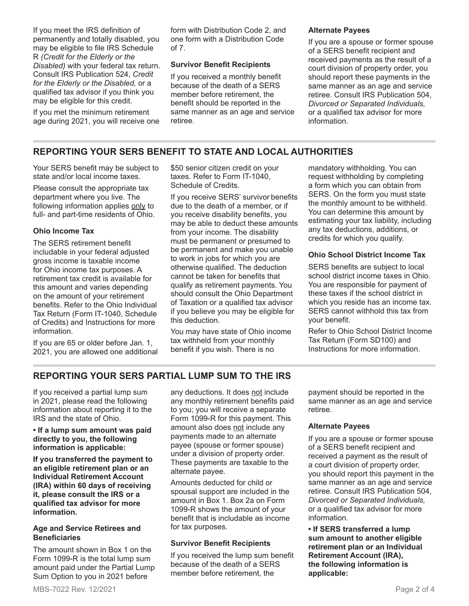If you meet the IRS definition of permanently and totally disabled, you may be eligible to file IRS Schedule R *(Credit for the Elderly or the Disabled)* with your federal tax return. Consult IRS Publication 524, *Credit for the Elderly or the Disabled,* or a qualified tax advisor if you think you may be eligible for this credit.

If you met the minimum retirement age during 2021, you will receive one form with Distribution Code 2, and one form with a Distribution Code of 7.

#### **Survivor Benefit Recipients**

If you received a monthly benefit because of the death of a SERS member before retirement, the benefit should be reported in the same manner as an age and service retiree.

#### **Alternate Payees**

If you are a spouse or former spouse of a SERS benefit recipient and received payments as the result of a court division of property order, you should report these payments in the same manner as an age and service retiree. Consult IRS Publication 504, *Divorced or Separated Individuals,* or a qualified tax advisor for more information.

# **REPORTING YOUR SERS BENEFIT TO STATE AND LOCAL AUTHORITIES**

Your SERS benefit may be subject to state and/or local income taxes.

Please consult the appropriate tax department where you live. The following information applies only to full- and part-time residents of Ohio.

### **Ohio Income Tax**

The SERS retirement benefit includable in your federal adjusted gross income is taxable income for Ohio income tax purposes. A retirement tax credit is available for this amount and varies depending on the amount of your retirement benefits. Refer to the Ohio Individual Tax Return (Form IT-1040, Schedule of Credits) and Instructions for more information.

If you are 65 or older before Jan. 1, 2021, you are allowed one additional \$50 senior citizen credit on your taxes. Refer to Form IT-1040, Schedule of Credits.

If you receive SERS' survivor benefits due to the death of a member, or if you receive disability benefits, you may be able to deduct these amounts from your income. The disability must be permanent or presumed to be permanent and make you unable to work in jobs for which you are otherwise qualified. The deduction cannot be taken for benefits that qualify as retirement payments. You should consult the Ohio Department of Taxation or a qualified tax advisor if you believe you may be eligible for this deduction.

You may have state of Ohio income tax withheld from your monthly benefit if you wish. There is no

mandatory withholding. You can request withholding by completing a form which you can obtain from SERS. On the form you must state the monthly amount to be withheld. You can determine this amount by estimating your tax liability, including any tax deductions, additions, or credits for which you qualify.

### **Ohio School District Income Tax**

SERS benefits are subject to local school district income taxes in Ohio. You are responsible for payment of these taxes if the school district in which you reside has an income tax. SERS cannot withhold this tax from your benefit.

Refer to Ohio School District Income Tax Return (Form SD100) and Instructions for more information.

# **REPORTING YOUR SERS PARTIAL LUMP SUM TO THE IRS**

If you received a partial lump sum in 2021, please read the following information about reporting it to the IRS and the state of Ohio.

#### **• If a lump sum amount was paid directly to you, the following information is applicable:**

**If you transferred the payment to an eligible retirement plan or an Individual Retirement Account (IRA) within 60 days of receiving it, please consult the IRS or a qualified tax advisor for more information.**

#### **Age and Service Retirees and Beneficiaries**

The amount shown in Box 1 on the Form 1099-R is the total lump sum amount paid under the Partial Lump Sum Option to you in 2021 before

any deductions. It does not include any monthly retirement benefits paid to you; you will receive a separate Form 1099-R for this payment. This amount also does not include any payments made to an alternate payee (spouse or former spouse) under a division of property order. These payments are taxable to the alternate payee.

Amounts deducted for child or spousal support are included in the amount in Box 1. Box 2a on Form 1099-R shows the amount of your benefit that is includable as income for tax purposes.

### **Survivor Benefit Recipients**

If you received the lump sum benefit because of the death of a SERS member before retirement, the

payment should be reported in the same manner as an age and service retiree.

### **Alternate Payees**

If you are a spouse or former spouse of a SERS benefit recipient and received a payment as the result of a court division of property order, you should report this payment in the same manner as an age and service retiree. Consult IRS Publication 504, *Divorced or Separated Individuals,*  or a qualified tax advisor for more information.

**• If SERS transferred a lump sum amount to another eligible retirement plan or an Individual Retirement Account (IRA), the following information is applicable:**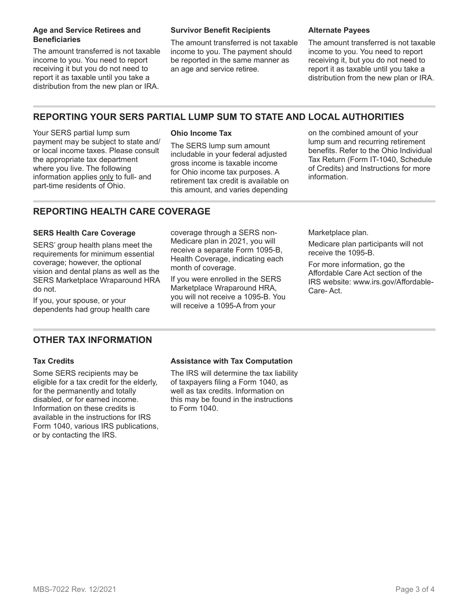#### **Age and Service Retirees and Beneficiaries**

The amount transferred is not taxable income to you. You need to report receiving it but you do not need to report it as taxable until you take a distribution from the new plan or IRA.

#### **Survivor Benefit Recipients**

The amount transferred is not taxable income to you. The payment should be reported in the same manner as an age and service retiree.

#### **Alternate Payees**

The amount transferred is not taxable income to you. You need to report receiving it, but you do not need to report it as taxable until you take a distribution from the new plan or IRA.

# **REPORTING YOUR SERS PARTIAL LUMP SUM TO STATE AND LOCAL AUTHORITIES**

Your SERS partial lump sum payment may be subject to state and/ or local income taxes. Please consult the appropriate tax department where you live. The following information applies only to full- and part-time residents of Ohio.

### **Ohio Income Tax**

The SERS lump sum amount includable in your federal adjusted gross income is taxable income for Ohio income tax purposes. A retirement tax credit is available on this amount, and varies depending

on the combined amount of your lump sum and recurring retirement benefits. Refer to the Ohio Individual Tax Return (Form IT-1040, Schedule of Credits) and Instructions for more information.

# **REPORTING HEALTH CARE COVERAGE**

#### **SERS Health Care Coverage**

SERS' group health plans meet the requirements for minimum essential coverage; however, the optional vision and dental plans as well as the SERS Marketplace Wraparound HRA do not.

If you, your spouse, or your dependents had group health care coverage through a SERS non-Medicare plan in 2021, you will receive a separate Form 1095-B, Health Coverage, indicating each month of coverage.

If you were enrolled in the SERS Marketplace Wraparound HRA, you will not receive a 1095-B. You will receive a 1095-A from your

Marketplace plan.

Medicare plan participants will not receive the 1095-B.

For more information, go the Affordable Care Act section of the IRS website: www.irs.gov/Affordable-Care- Act.

# **OTHER TAX INFORMATION**

#### **Tax Credits**

Some SERS recipients may be eligible for a tax credit for the elderly, for the permanently and totally disabled, or for earned income. Information on these credits is available in the instructions for IRS Form 1040, various IRS publications, or by contacting the IRS.

### **Assistance with Tax Computation**

The IRS will determine the tax liability of taxpayers filing a Form 1040, as well as tax credits. Information on this may be found in the instructions to Form 1040.